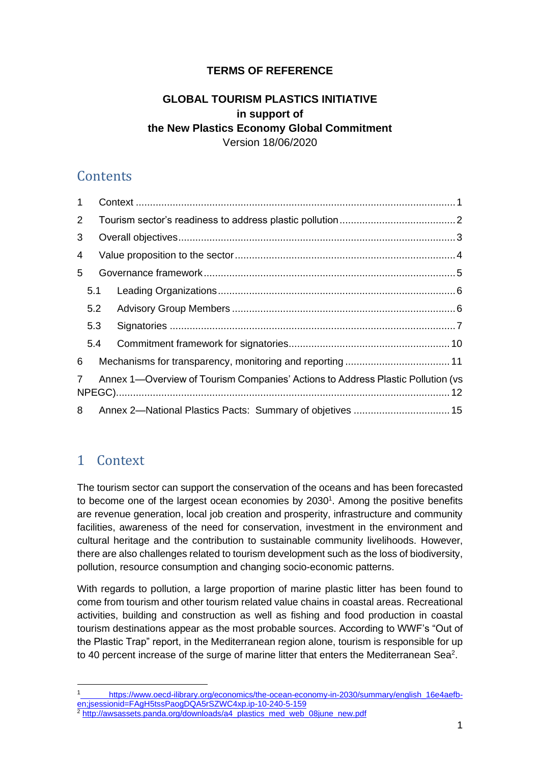### **TERMS OF REFERENCE**

#### **GLOBAL TOURISM PLASTICS INITIATIVE in support of the New Plastics Economy Global Commitment** Version 18/06/2020

## **Contents**

| 1 |     |  |                                                                                 |  |  |  |  |  |  |  |
|---|-----|--|---------------------------------------------------------------------------------|--|--|--|--|--|--|--|
| 2 |     |  |                                                                                 |  |  |  |  |  |  |  |
| 3 |     |  |                                                                                 |  |  |  |  |  |  |  |
| 4 |     |  |                                                                                 |  |  |  |  |  |  |  |
| 5 |     |  |                                                                                 |  |  |  |  |  |  |  |
|   | 5.1 |  |                                                                                 |  |  |  |  |  |  |  |
|   | 5.2 |  |                                                                                 |  |  |  |  |  |  |  |
|   | 5.3 |  |                                                                                 |  |  |  |  |  |  |  |
|   | 5.4 |  |                                                                                 |  |  |  |  |  |  |  |
| 6 |     |  |                                                                                 |  |  |  |  |  |  |  |
| 7 |     |  | Annex 1-Overview of Tourism Companies' Actions to Address Plastic Pollution (vs |  |  |  |  |  |  |  |
| 8 |     |  | Annex 2-National Plastics Pacts: Summary of objetives  15                       |  |  |  |  |  |  |  |

# <span id="page-0-0"></span>1 Context

The tourism sector can support the conservation of the oceans and has been forecasted to become one of the largest ocean economies by  $2030<sup>1</sup>$ . Among the positive benefits are revenue generation, local job creation and prosperity, infrastructure and community facilities, awareness of the need for conservation, investment in the environment and cultural heritage and the contribution to sustainable community livelihoods. However, there are also challenges related to tourism development such as the loss of biodiversity, pollution, resource consumption and changing socio-economic patterns.

With regards to pollution, a large proportion of marine plastic litter has been found to come from tourism and other tourism related value chains in coastal areas. Recreational activities, building and construction as well as fishing and food production in coastal tourism destinations appear as the most probable sources. According to WWF's "Out of the Plastic Trap" report, in the Mediterranean region alone, tourism is responsible for up to 40 percent increase of the surge of marine litter that enters the Mediterranean Sea<sup>2</sup>.

https://www.oecd-ilibrary.org/economics/the-ocean-economy-in-2030/summary/english\_16e4aefben;jsessionid=FAgH5tssPaogDQA5rSZWC4xp.ip-10-240-5-159

<sup>&</sup>lt;sup>2</sup> [http://awsassets.panda.org/downloads/a4\\_plastics\\_med\\_web\\_08june\\_new.pdf](http://awsassets.panda.org/downloads/a4_plastics_med_web_08june_new.pdf)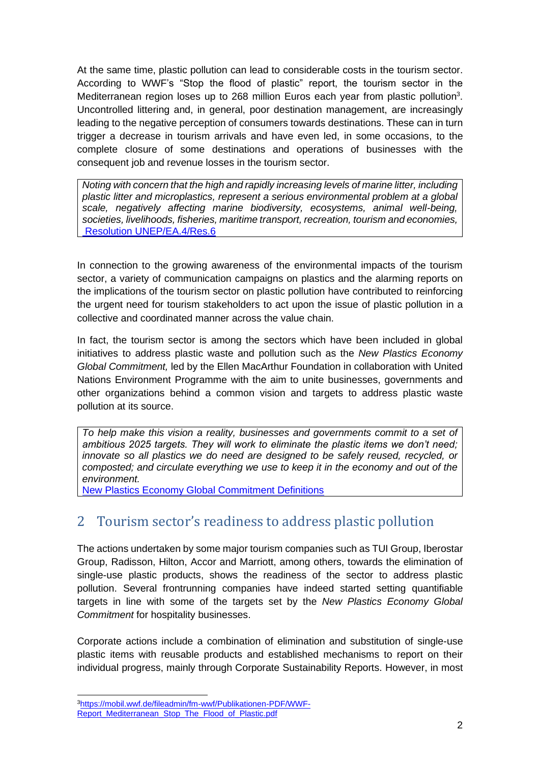At the same time, plastic pollution can lead to considerable costs in the tourism sector. According to WWF's "Stop the flood of plastic" report, the tourism sector in the Mediterranean region loses up to 268 million Euros each year from plastic pollution<sup>3</sup>. Uncontrolled littering and, in general, poor destination management, are increasingly leading to the negative perception of consumers towards destinations. These can in turn trigger a decrease in tourism arrivals and have even led, in some occasions, to the complete closure of some destinations and operations of businesses with the consequent job and revenue losses in the tourism sector.

*Noting with concern that the high and rapidly increasing levels of marine litter, including plastic litter and microplastics, represent a serious environmental problem at a global scale, negatively affecting marine biodiversity, ecosystems, animal well-being, societies, livelihoods, fisheries, maritime transport, recreation, tourism and economies,* [Resolution UNEP/EA.4/Res.6](http://wedocs.unep.org/bitstream/handle/20.500.11822/28471/English.pdf?sequence=3&isAllowed=y)

In connection to the growing awareness of the environmental impacts of the tourism sector, a variety of communication campaigns on plastics and the alarming reports on the implications of the tourism sector on plastic pollution have contributed to reinforcing the urgent need for tourism stakeholders to act upon the issue of plastic pollution in a collective and coordinated manner across the value chain.

In fact, the tourism sector is among the sectors which have been included in global initiatives to address plastic waste and pollution such as the *New Plastics Economy Global Commitment,* led by the Ellen MacArthur Foundation in collaboration with United Nations Environment Programme with the aim to unite businesses, governments and other organizations behind a common vision and targets to address plastic waste pollution at its source.

*To help make this vision a reality, businesses and governments commit to a set of ambitious 2025 targets. They will work to eliminate the plastic items we don't need; innovate so all plastics we do need are designed to be safely reused, recycled, or composted; and circulate everything we use to keep it in the economy and out of the environment.*

<span id="page-1-0"></span>[New Plastics Economy Global Commitment Definitions](https://www.ellenmacarthurfoundation.org/assets/downloads/13319-Global-Commitment-Definitions.pdf)

## 2 Tourism sector's readiness to address plastic pollution

The actions undertaken by some major tourism companies such as TUI Group, Iberostar Group, Radisson, Hilton, Accor and Marriott, among others, towards the elimination of single-use plastic products, shows the readiness of the sector to address plastic pollution. Several frontrunning companies have indeed started setting quantifiable targets in line with some of the targets set by the *New Plastics Economy Global Commitment* for hospitality businesses.

Corporate actions include a combination of elimination and substitution of single-use plastic items with reusable products and established mechanisms to report on their individual progress, mainly through Corporate Sustainability Reports. However, in most

<sup>3</sup>[https://mobil.wwf.de/fileadmin/fm-wwf/Publikationen-PDF/WWF-](https://mobil.wwf.de/fileadmin/fm-wwf/Publikationen-PDF/WWF-Report_Mediterranean_Stop_The_Flood_of_Plastic.pdf)[Report\\_Mediterranean\\_Stop\\_The\\_Flood\\_of\\_Plastic.pdf](https://mobil.wwf.de/fileadmin/fm-wwf/Publikationen-PDF/WWF-Report_Mediterranean_Stop_The_Flood_of_Plastic.pdf)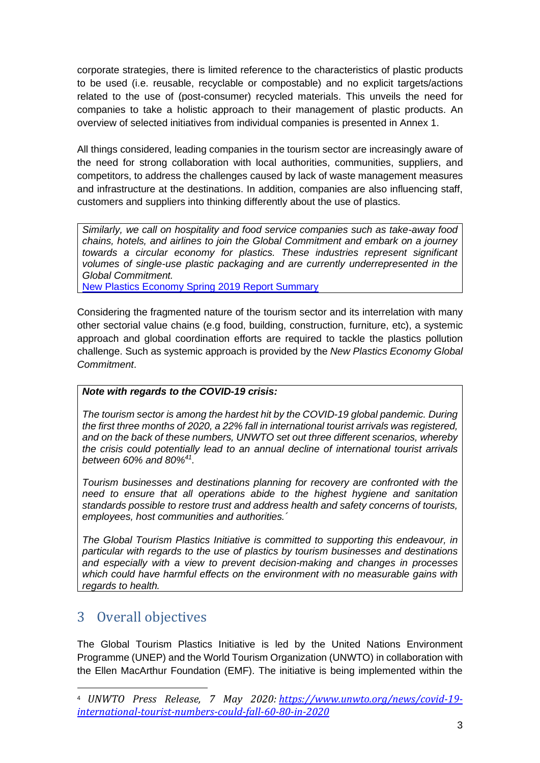corporate strategies, there is limited reference to the characteristics of plastic products to be used (i.e. reusable, recyclable or compostable) and no explicit targets/actions related to the use of (post-consumer) recycled materials. This unveils the need for companies to take a holistic approach to their management of plastic products. An overview of selected initiatives from individual companies is presented in Annex 1.

All things considered, leading companies in the tourism sector are increasingly aware of the need for strong collaboration with local authorities, communities, suppliers, and competitors, to address the challenges caused by lack of waste management measures and infrastructure at the destinations. In addition, companies are also influencing staff, customers and suppliers into thinking differently about the use of plastics.

*Similarly, we call on hospitality and food service companies such as take-away food chains, hotels, and airlines to join the Global Commitment and embark on a journey towards a circular economy for plastics. These industries represent significant volumes of single-use plastic packaging and are currently underrepresented in the Global Commitment.*

[New Plastics Economy Spring 2019 Report Summary](https://newplasticseconomy.org/assets/doc/GC-Spring-Report-Summary.pdf)

Considering the fragmented nature of the tourism sector and its interrelation with many other sectorial value chains (e.g food, building, construction, furniture, etc), a systemic approach and global coordination efforts are required to tackle the plastics pollution challenge. Such as systemic approach is provided by the *New Plastics Economy Global Commitment*.

#### *Note with regards to the COVID-19 crisis:*

*The tourism sector is among the hardest hit by the COVID-19 global pandemic. During the first three months of 2020, a 22% fall in international tourist arrivals was registered, and on the back of these numbers, UNWTO set out three different scenarios, whereby the crisis could potentially lead to an annual decline of international tourist arrivals between 60% and 80%<sup>41</sup> .*

*Tourism businesses and destinations planning for recovery are confronted with the need to ensure that all operations abide to the highest hygiene and sanitation standards possible to restore trust and address health and safety concerns of tourists, employees, host communities and authorities.´*

*The Global Tourism Plastics Initiative is committed to supporting this endeavour, in particular with regards to the use of plastics by tourism businesses and destinations and especially with a view to prevent decision-making and changes in processes which could have harmful effects on the environment with no measurable gains with regards to health.*

# <span id="page-2-0"></span>3 Overall objectives

The Global Tourism Plastics Initiative is led by the United Nations Environment Programme (UNEP) and the World Tourism Organization (UNWTO) in collaboration with the Ellen MacArthur Foundation (EMF). The initiative is being implemented within the

<sup>4</sup> *UNWTO Press Release, 7 May 2020: [https://www.unwto.org/news/covid-19](https://www.unwto.org/news/covid-19-international-tourist-numbers-could-fall-60-80-in-2020) [international-tourist-numbers-could-fall-60-80-in-2020](https://www.unwto.org/news/covid-19-international-tourist-numbers-could-fall-60-80-in-2020)*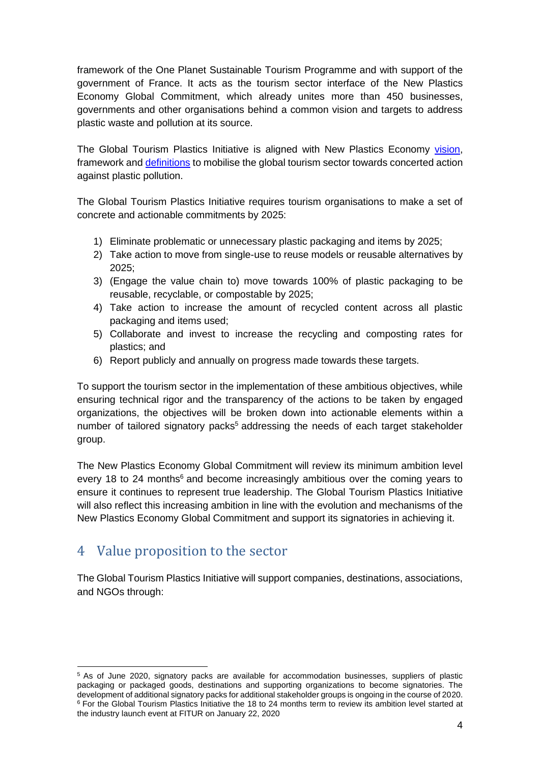framework of the One Planet Sustainable Tourism Programme and with support of the government of France. It acts as the tourism sector interface of the New Plastics Economy Global Commitment, which already unites more than 450 businesses, governments and other organisations behind a common vision and targets to address plastic waste and pollution at its source.

The Global Tourism Plastics Initiative is aligned with New Plastics Economy [vision,](https://www.oneplanetnetwork.org/sites/default/files/global_tourism_plastic_initiative_businesses_signatory_pack_v_20200122_appendix_ii_-_common_vision_1.pdf) framework and [definitions](https://www.oneplanetnetwork.org/sites/default/files/global_tourism_plastic_initiative_businesses_signatory_pack_v_20200122_appendix_v_-_definitions_1.pdf) to mobilise the global tourism sector towards concerted action against plastic pollution.

The Global Tourism Plastics Initiative requires tourism organisations to make a set of concrete and actionable commitments by 2025:

- 1) Eliminate problematic or unnecessary plastic packaging and items by 2025;
- 2) Take action to move from single-use to reuse models or reusable alternatives by 2025;
- 3) (Engage the value chain to) move towards 100% of plastic packaging to be reusable, recyclable, or compostable by 2025;
- 4) Take action to increase the amount of recycled content across all plastic packaging and items used;
- 5) Collaborate and invest to increase the recycling and composting rates for plastics; and
- 6) Report publicly and annually on progress made towards these targets.

To support the tourism sector in the implementation of these ambitious objectives, while ensuring technical rigor and the transparency of the actions to be taken by engaged organizations, the objectives will be broken down into actionable elements within a number of tailored signatory packs<sup>5</sup> addressing the needs of each target stakeholder group.

The New Plastics Economy Global Commitment will review its minimum ambition level every 18 to 24 months<sup>6</sup> and become increasingly ambitious over the coming years to ensure it continues to represent true leadership. The Global Tourism Plastics Initiative will also reflect this increasing ambition in line with the evolution and mechanisms of the New Plastics Economy Global Commitment and support its signatories in achieving it.

# <span id="page-3-0"></span>4 Value proposition to the sector

The Global Tourism Plastics Initiative will support companies, destinations, associations, and NGOs through:

<sup>5</sup> As of June 2020, signatory packs are available for accommodation businesses, suppliers of plastic packaging or packaged goods, destinations and supporting organizations to become signatories. The development of additional signatory packs for additional stakeholder groups is ongoing in the course of 2020. <sup>6</sup> For the Global Tourism Plastics Initiative the 18 to 24 months term to review its ambition level started at the industry launch event at FITUR on January 22, 2020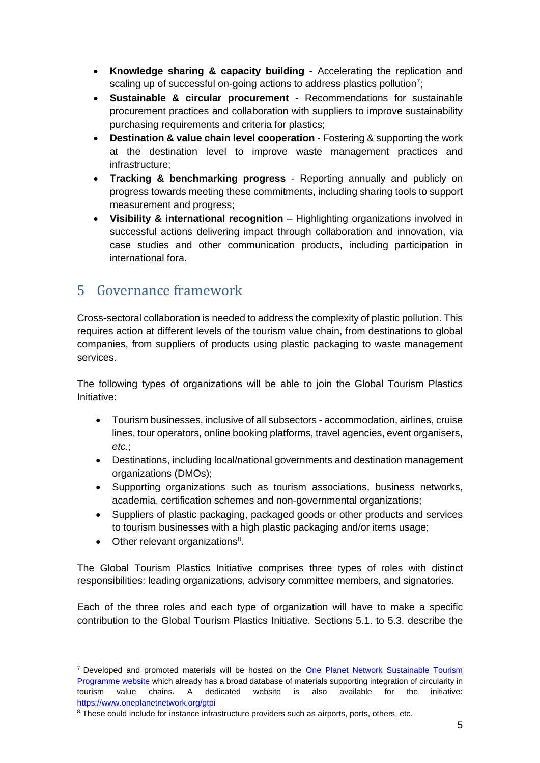- **Knowledge sharing & capacity building** Accelerating the replication and scaling up of successful on-going actions to address plastics pollution<sup>7</sup>;
- **Sustainable & circular procurement** Recommendations for sustainable procurement practices and collaboration with suppliers to improve sustainability purchasing requirements and criteria for plastics;
- **Destination & value chain level cooperation** Fostering & supporting the work at the destination level to improve waste management practices and infrastructure;
- **Tracking & benchmarking progress**  Reporting annually and publicly on progress towards meeting these commitments, including sharing tools to support measurement and progress;
- **Visibility & international recognition** Highlighting organizations involved in successful actions delivering impact through collaboration and innovation, via case studies and other communication products, including participation in international fora.

# <span id="page-4-0"></span>5 Governance framework

Cross-sectoral collaboration is needed to address the complexity of plastic pollution. This requires action at different levels of the tourism value chain, from destinations to global companies, from suppliers of products using plastic packaging to waste management services.

The following types of organizations will be able to join the Global Tourism Plastics Initiative:

- Tourism businesses, inclusive of all subsectors accommodation, airlines, cruise lines, tour operators, online booking platforms, travel agencies, event organisers, *etc.*;
- Destinations, including local/national governments and destination management organizations (DMOs);
- Supporting organizations such as tourism associations, business networks, academia, certification schemes and non-governmental organizations;
- Suppliers of plastic packaging, packaged goods or other products and services to tourism businesses with a high plastic packaging and/or items usage;
- $\bullet$  Other relevant organizations<sup>8</sup>.

The Global Tourism Plastics Initiative comprises three types of roles with distinct responsibilities: leading organizations, advisory committee members, and signatories.

Each of the three roles and each type of organization will have to make a specific contribution to the Global Tourism Plastics Initiative. Sections 5.1. to 5.3. describe the

<sup>7</sup> Developed and promoted materials will be hosted on the [One Planet Network Sustainable Tourism](https://www.oneplanetnetwork.org/sustainable-tourism)  [Programme website](https://www.oneplanetnetwork.org/sustainable-tourism) which already has a broad database of materials supporting integration of circularity in tourism value chains. A dedicated website is also available for the initiative: <https://www.oneplanetnetwork.org/gtpi>

<sup>&</sup>lt;sup>8</sup> These could include for instance infrastructure providers such as airports, ports, others, etc.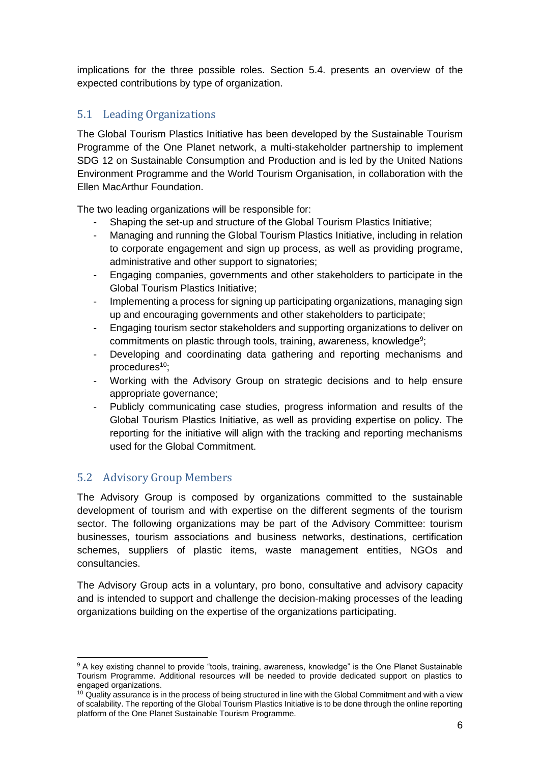implications for the three possible roles. Section 5.4. presents an overview of the expected contributions by type of organization.

## <span id="page-5-0"></span>5.1 Leading Organizations

The Global Tourism Plastics Initiative has been developed by the Sustainable Tourism Programme of the One Planet network, a multi-stakeholder partnership to implement SDG 12 on Sustainable Consumption and Production and is led by the United Nations Environment Programme and the World Tourism Organisation, in collaboration with the Ellen MacArthur Foundation.

The two leading organizations will be responsible for:

- Shaping the set-up and structure of the Global Tourism Plastics Initiative;
- Managing and running the Global Tourism Plastics Initiative, including in relation to corporate engagement and sign up process, as well as providing programe, administrative and other support to signatories;
- Engaging companies, governments and other stakeholders to participate in the Global Tourism Plastics Initiative;
- Implementing a process for signing up participating organizations, managing sign up and encouraging governments and other stakeholders to participate;
- Engaging tourism sector stakeholders and supporting organizations to deliver on commitments on plastic through tools, training, awareness, knowledge<sup>9</sup>;
- Developing and coordinating data gathering and reporting mechanisms and procedures<sup>10</sup>;
- Working with the Advisory Group on strategic decisions and to help ensure appropriate governance;
- Publicly communicating case studies, progress information and results of the Global Tourism Plastics Initiative, as well as providing expertise on policy. The reporting for the initiative will align with the tracking and reporting mechanisms used for the Global Commitment.

### <span id="page-5-1"></span>5.2 Advisory Group Members

The Advisory Group is composed by organizations committed to the sustainable development of tourism and with expertise on the different segments of the tourism sector. The following organizations may be part of the Advisory Committee: tourism businesses, tourism associations and business networks, destinations, certification schemes, suppliers of plastic items, waste management entities, NGOs and consultancies.

The Advisory Group acts in a voluntary, pro bono, consultative and advisory capacity and is intended to support and challenge the decision-making processes of the leading organizations building on the expertise of the organizations participating.

<sup>&</sup>lt;sup>9</sup> A key existing channel to provide "tools, training, awareness, knowledge" is the One Planet Sustainable Tourism Programme. Additional resources will be needed to provide dedicated support on plastics to engaged organizations.

 $10$  Quality assurance is in the process of being structured in line with the Global Commitment and with a view of scalability. The reporting of the Global Tourism Plastics Initiative is to be done through the online reporting platform of the One Planet Sustainable Tourism Programme.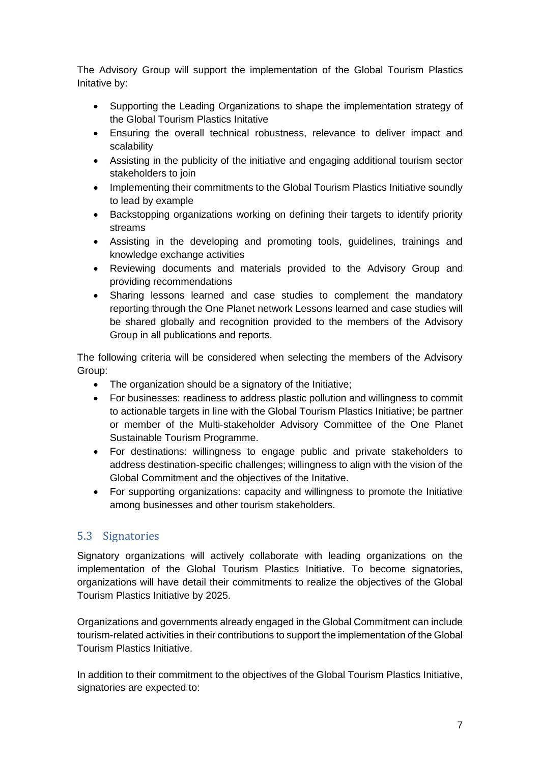The Advisory Group will support the implementation of the Global Tourism Plastics Initative by:

- Supporting the Leading Organizations to shape the implementation strategy of the Global Tourism Plastics Initative
- Ensuring the overall technical robustness, relevance to deliver impact and scalability
- Assisting in the publicity of the initiative and engaging additional tourism sector stakeholders to join
- Implementing their commitments to the Global Tourism Plastics Initiative soundly to lead by example
- Backstopping organizations working on defining their targets to identify priority streams
- Assisting in the developing and promoting tools, guidelines, trainings and knowledge exchange activities
- Reviewing documents and materials provided to the Advisory Group and providing recommendations
- Sharing lessons learned and case studies to complement the mandatory reporting through the One Planet network Lessons learned and case studies will be shared globally and recognition provided to the members of the Advisory Group in all publications and reports.

The following criteria will be considered when selecting the members of the Advisory Group:

- The organization should be a signatory of the Initiative;
- For businesses: readiness to address plastic pollution and willingness to commit to actionable targets in line with the Global Tourism Plastics Initiative; be partner or member of the Multi-stakeholder Advisory Committee of the One Planet Sustainable Tourism Programme.
- For destinations: willingness to engage public and private stakeholders to address destination-specific challenges; willingness to align with the vision of the Global Commitment and the objectives of the Initative.
- For supporting organizations: capacity and willingness to promote the Initiative among businesses and other tourism stakeholders.

### <span id="page-6-0"></span>5.3 Signatories

Signatory organizations will actively collaborate with leading organizations on the implementation of the Global Tourism Plastics Initiative. To become signatories, organizations will have detail their commitments to realize the objectives of the Global Tourism Plastics Initiative by 2025.

Organizations and governments already engaged in the Global Commitment can include tourism-related activities in their contributions to support the implementation of the Global Tourism Plastics Initiative.

In addition to their commitment to the objectives of the Global Tourism Plastics Initiative, signatories are expected to: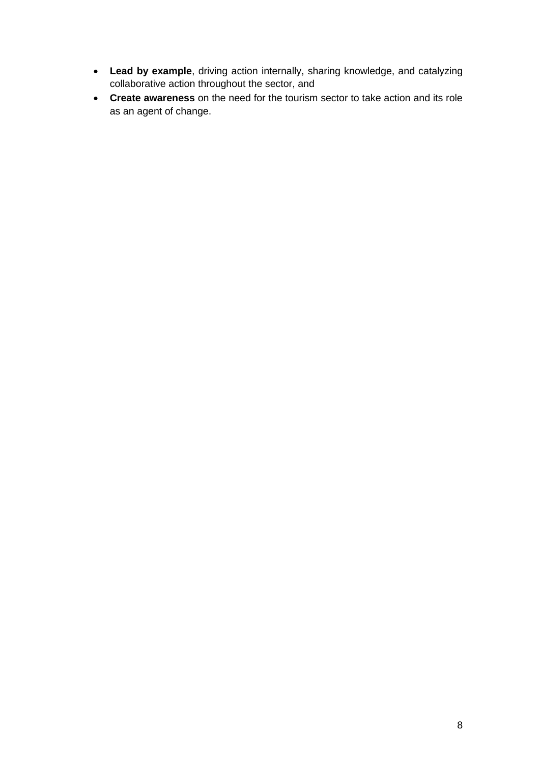- **Lead by example**, driving action internally, sharing knowledge, and catalyzing collaborative action throughout the sector, and
- **Create awareness** on the need for the tourism sector to take action and its role as an agent of change.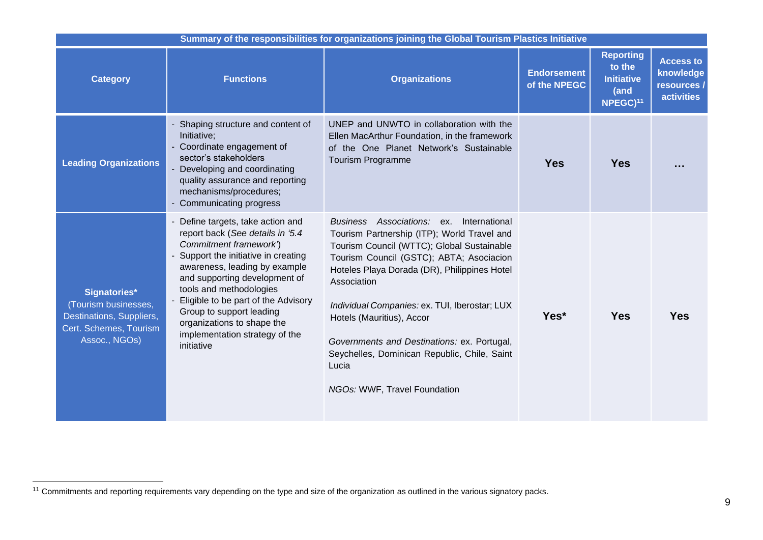| Summary of the responsibilities for organizations joining the Global Tourism Plastics Initiative            |                                                                                                                                                                                                                                                                                                                                                                                       |                                                                                                                                                                                                                                                                                                                                                                                                                                                                           |                                    |                                                                                 |                                                                   |  |  |  |  |  |  |  |
|-------------------------------------------------------------------------------------------------------------|---------------------------------------------------------------------------------------------------------------------------------------------------------------------------------------------------------------------------------------------------------------------------------------------------------------------------------------------------------------------------------------|---------------------------------------------------------------------------------------------------------------------------------------------------------------------------------------------------------------------------------------------------------------------------------------------------------------------------------------------------------------------------------------------------------------------------------------------------------------------------|------------------------------------|---------------------------------------------------------------------------------|-------------------------------------------------------------------|--|--|--|--|--|--|--|
| <b>Category</b>                                                                                             | <b>Functions</b>                                                                                                                                                                                                                                                                                                                                                                      | <b>Organizations</b>                                                                                                                                                                                                                                                                                                                                                                                                                                                      | <b>Endorsement</b><br>of the NPEGC | <b>Reporting</b><br>to the<br><b>Initiative</b><br>(and<br>NPEGC) <sup>11</sup> | <b>Access to</b><br>knowledge<br>resources /<br><b>activities</b> |  |  |  |  |  |  |  |
| <b>Leading Organizations</b>                                                                                | Shaping structure and content of<br>Initiative;<br>- Coordinate engagement of<br>sector's stakeholders<br>- Developing and coordinating<br>quality assurance and reporting<br>mechanisms/procedures;<br>- Communicating progress                                                                                                                                                      | UNEP and UNWTO in collaboration with the<br>Ellen MacArthur Foundation, in the framework<br>of the One Planet Network's Sustainable<br><b>Tourism Programme</b>                                                                                                                                                                                                                                                                                                           | <b>Yes</b>                         | <b>Yes</b>                                                                      |                                                                   |  |  |  |  |  |  |  |
| Signatories*<br>(Tourism businesses,<br>Destinations, Suppliers,<br>Cert. Schemes, Tourism<br>Assoc., NGOs) | - Define targets, take action and<br>report back (See details in '5.4<br>Commitment framework')<br>- Support the initiative in creating<br>awareness, leading by example<br>and supporting development of<br>tools and methodologies<br>Eligible to be part of the Advisory<br>Group to support leading<br>organizations to shape the<br>implementation strategy of the<br>initiative | Business Associations: ex.<br>International<br>Tourism Partnership (ITP); World Travel and<br>Tourism Council (WTTC); Global Sustainable<br>Tourism Council (GSTC); ABTA; Asociacion<br>Hoteles Playa Dorada (DR), Philippines Hotel<br>Association<br>Individual Companies: ex. TUI, Iberostar; LUX<br>Hotels (Mauritius), Accor<br>Governments and Destinations: ex. Portugal,<br>Seychelles, Dominican Republic, Chile, Saint<br>Lucia<br>NGOs: WWF, Travel Foundation | Yes*                               | <b>Yes</b>                                                                      | <b>Yes</b>                                                        |  |  |  |  |  |  |  |

<sup>11</sup> Commitments and reporting requirements vary depending on the type and size of the organization as outlined in the various signatory packs.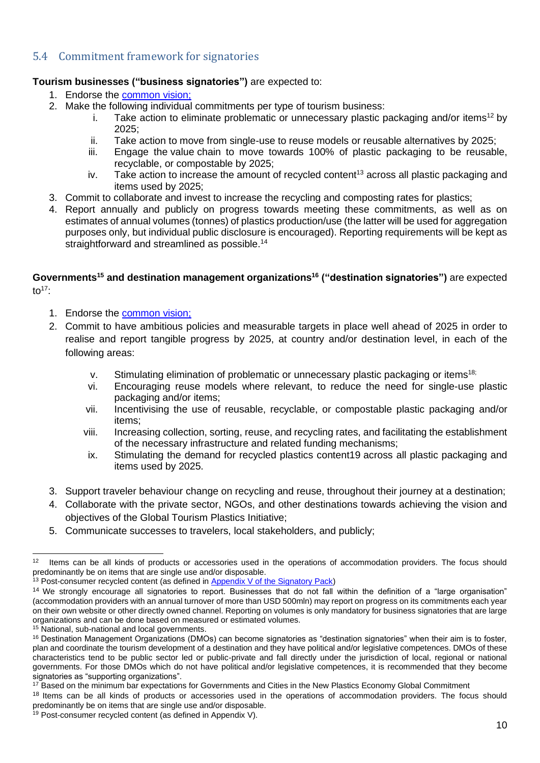### <span id="page-9-1"></span><span id="page-9-0"></span>5.4 Commitment framework for signatories

#### **Tourism businesses ("business signatories")** are expected to:

- 1. Endorse the [common vision;](https://www.oneplanetnetwork.org/sites/default/files/global_tourism_plastic_initiative_businesses_signatory_pack_v_20200122_appendix_ii_-_common_vision_1.pdf)
- 2. Make the following individual commitments per type of tourism business:
	- i. Take action to eliminate problematic or unnecessary plastic packaging and/or items<sup>12</sup> by 2025;
	- ii. Take action to move from single-use to reuse models or reusable alternatives by 2025;
	- iii. Engage the value chain to move towards 100% of plastic packaging to be reusable, recyclable, or compostable by 2025;
	- iv. Take action to increase the amount of recycled content<sup>13</sup> across all plastic packaging and items used by 2025;
- 3. Commit to collaborate and invest to increase the recycling and composting rates for plastics;
- 4. Report annually and publicly on progress towards meeting these commitments, as well as on estimates of annual volumes (tonnes) of plastics production/use (the latter will be used for aggregation purposes only, but individual public disclosure is encouraged). Reporting requirements will be kept as straightforward and streamlined as possible.<sup>14</sup>

#### **Governments<sup>15</sup> and destination management organizations <sup>16</sup> ("destination signatories")** are expected to $17$

- 1. Endorse the [common vision;](https://www.oneplanetnetwork.org/sites/default/files/global_tourism_plastic_initiative_businesses_signatory_pack_v_20200122_appendix_ii_-_common_vision_1.pdf)
- 2. Commit to have ambitious policies and measurable targets in place well ahead of 2025 in order to realise and report tangible progress by 2025, at country and/or destination level, in each of the following areas:
	- v. Stimulating elimination of problematic or unnecessary plastic packaging or items18;
	- vi. Encouraging reuse models where relevant, to reduce the need for single-use plastic packaging and/or items;
	- vii. Incentivising the use of reusable, recyclable, or compostable plastic packaging and/or items;
	- viii. Increasing collection, sorting, reuse, and recycling rates, and facilitating the establishment of the necessary infrastructure and related funding mechanisms;
	- ix. Stimulating the demand for recycled plastics content19 across all plastic packaging and items used by 2025.
- 3. Support traveler behaviour change on recycling and reuse, throughout their journey at a destination;
- 4. Collaborate with the private sector, NGOs, and other destinations towards achieving the vision and objectives of the Global Tourism Plastics Initiative;
- 5. Communicate successes to travelers, local stakeholders, and publicly;

<sup>12</sup> Items can be all kinds of products or accessories used in the operations of accommodation providers. The focus should predominantly be on items that are single use and/or disposable.

<sup>&</sup>lt;sup>13</sup> Post-consumer recycled content (as defined in [Appendix V of the Signatory Pack\)](https://www.oneplanetnetwork.org/sites/default/files/global_tourism_plastic_initiative_businesses_signatory_pack_v_20200122_appendix_v_-_definitions_1.pdf)

<sup>14</sup> We strongly encourage all signatories to report. Businesses that do not fall within the definition of a "large organisation" (accommodation providers with an annual turnover of more than USD 500mln) may report on progress on its commitments each year on their own website or other directly owned channel. Reporting on volumes is only mandatory for business signatories that are large organizations and can be done based on measured or estimated volumes.

<sup>&</sup>lt;sup>15</sup> National, sub-national and local governments.

<sup>&</sup>lt;sup>16</sup> Destination Management Organizations (DMOs) can become signatories as "destination signatories" when their aim is to foster, plan and coordinate the tourism development of a destination and they have political and/or legislative competences. DMOs of these characteristics tend to be public sector led or public-private and fall directly under the jurisdiction of local, regional or national governments. For those DMOs which do not have political and/or legislative competences, it is recommended that they become signatories as "supporting organizations".

<sup>&</sup>lt;sup>17</sup> Based on the minimum bar expectations for Governments and Cities in the New Plastics Economy Global Commitment

<sup>&</sup>lt;sup>18</sup> Items can be all kinds of products or accessories used in the operations of accommodation providers. The focus should predominantly be on items that are single use and/or disposable.

 $19$  Post-consumer recycled content (as defined in Appendix V).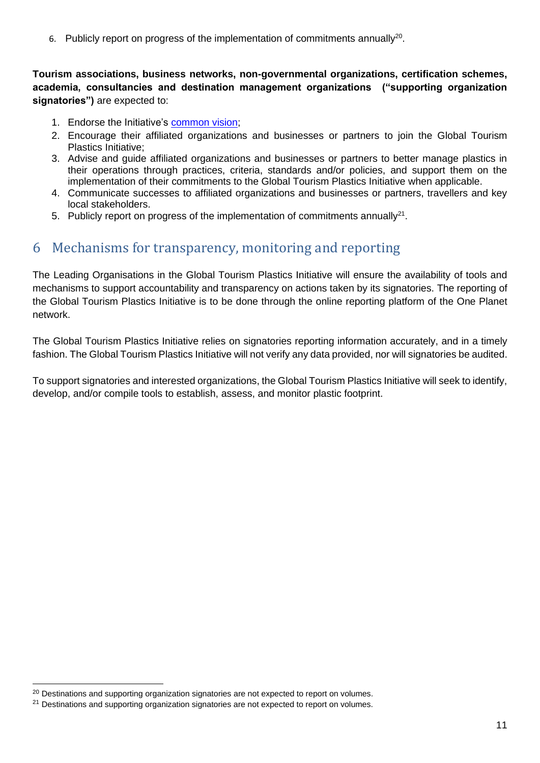6. Publicly report on progress of the implementation of commitments annually<sup>20</sup>.

**Tourism associations, business networks, non-governmental organizations, certification schemes, academia, consultancies and destination management organizations ("supporting organization signatories")** are expected to:

- 1. Endorse the Initiative's [common vision;](https://www.oneplanetnetwork.org/sites/default/files/global_tourism_plastic_initiative_businesses_signatory_pack_v_20200122_appendix_ii_-_common_vision_1.pdf)
- 2. Encourage their affiliated organizations and businesses or partners to join the Global Tourism Plastics Initiative;
- 3. Advise and guide affiliated organizations and businesses or partners to better manage plastics in their operations through practices, criteria, standards and/or policies, and support them on the implementation of their commitments to the Global Tourism Plastics Initiative when applicable.
- 4. Communicate successes to affiliated organizations and businesses or partners, travellers and key local stakeholders.
- 5. Publicly report on progress of the implementation of commitments annually<sup>21</sup>.

## <span id="page-10-0"></span>6 Mechanisms for transparency, monitoring and reporting

The Leading Organisations in the Global Tourism Plastics Initiative will ensure the availability of tools and mechanisms to support accountability and transparency on actions taken by its signatories. The reporting of the Global Tourism Plastics Initiative is to be done through the online reporting platform of the One Planet network.

The Global Tourism Plastics Initiative relies on signatories reporting information accurately, and in a timely fashion. The Global Tourism Plastics Initiative will not verify any data provided, nor will signatories be audited.

To support signatories and interested organizations, the Global Tourism Plastics Initiative will seek to identify, develop, and/or compile tools to establish, assess, and monitor plastic footprint.

 $20$  Destinations and supporting organization signatories are not expected to report on volumes.

<sup>&</sup>lt;sup>21</sup> Destinations and supporting organization signatories are not expected to report on volumes.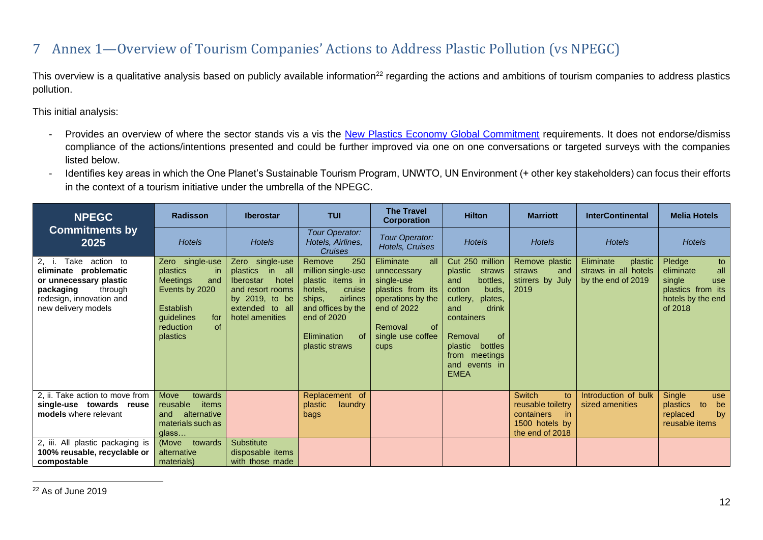# 7 Annex 1—Overview of Tourism Companies' Actions to Address Plastic Pollution (vs NPEGC)

This overview is a qualitative analysis based on publicly available information<sup>22</sup> regarding the actions and ambitions of tourism companies to address plastics pollution.

This initial analysis:

- Provides an overview of where the sector stands vis a vis the [New Plastics Economy Global Commitment](https://www.newplasticseconomy.org/projects/global-commitment) requirements. It does not endorse/dismiss compliance of the actions/intentions presented and could be further improved via one on one conversations or targeted surveys with the companies listed below.
- Identifies key areas in which the One Planet's Sustainable Tourism Program, UNWTO, UN Environment (+ other key stakeholders) can focus their efforts in the context of a tourism initiative under the umbrella of the NPEGC.

<span id="page-11-0"></span>

| <b>NPEGC</b>                                                                                                                                          | <b>Radisson</b>                                                                                                                          | <b>Iberostar</b>                                                                                                                                  | <b>TUI</b>                                                                                                                                                                                | <b>The Travel</b><br><b>Corporation</b>                                                                                                                         | <b>Hilton</b>                                                                                                                                                                                                           | <b>Marriott</b>                                                                                    | <b>InterContinental</b>                                            | <b>Melia Hotels</b>                                                                                    |
|-------------------------------------------------------------------------------------------------------------------------------------------------------|------------------------------------------------------------------------------------------------------------------------------------------|---------------------------------------------------------------------------------------------------------------------------------------------------|-------------------------------------------------------------------------------------------------------------------------------------------------------------------------------------------|-----------------------------------------------------------------------------------------------------------------------------------------------------------------|-------------------------------------------------------------------------------------------------------------------------------------------------------------------------------------------------------------------------|----------------------------------------------------------------------------------------------------|--------------------------------------------------------------------|--------------------------------------------------------------------------------------------------------|
| <b>Commitments by</b><br>2025                                                                                                                         | <b>Hotels</b>                                                                                                                            | <b>Hotels</b>                                                                                                                                     | Tour Operator:<br>Hotels, Airlines,<br>Cruises                                                                                                                                            | Tour Operator:<br>Hotels, Cruises                                                                                                                               | <b>Hotels</b>                                                                                                                                                                                                           | <b>Hotels</b>                                                                                      | <b>Hotels</b>                                                      | <b>Hotels</b>                                                                                          |
| Take action to<br>2, i.<br>eliminate problematic<br>or unnecessary plastic<br>through<br>packaging<br>redesign, innovation and<br>new delivery models | Zero single-use<br>plastics<br>-in<br>Meetings<br>and<br>Events by 2020<br>Establish<br>guidelines<br>for<br>of<br>reduction<br>plastics | single-use<br>Zero<br>plastics<br>in all<br><b>Iberostar</b><br>hotel<br>and resort rooms<br>by 2019, to be<br>extended to all<br>hotel amenities | 250<br>Remove<br>million single-use<br>plastic items in<br>hotels,<br>cruise<br>airlines<br>ships,<br>and offices by the<br>end of 2020<br><sub>of</sub><br>Elimination<br>plastic straws | Eliminate<br>all<br>unnecessary<br>single-use<br>plastics from its<br>operations by the<br>end of 2022<br><sub>of</sub><br>Removal<br>single use coffee<br>cups | Cut 250 million<br>plastic<br>straws<br>bottles,<br>and<br>buds.<br>cotton<br>plates,<br>cutlery,<br>drink<br>and<br>containers<br>Removal<br>0f<br>bottles<br>plastic<br>from meetings<br>and events in<br><b>EMEA</b> | Remove plastic<br>straws<br>and<br>stirrers by July<br>2019                                        | Eliminate<br>plastic<br>straws in all hotels<br>by the end of 2019 | Pledge<br>to<br>all<br>eliminate<br>single<br>use<br>plastics from its<br>hotels by the end<br>of 2018 |
| 2, ii. Take action to move from<br>single-use towards reuse<br>models where relevant                                                                  | Move<br>towards<br>reusable<br>items<br>alternative<br>and<br>materials such as<br>glass                                                 |                                                                                                                                                   | Replacement of<br>plastic<br>laundry<br>bags                                                                                                                                              |                                                                                                                                                                 |                                                                                                                                                                                                                         | <b>Switch</b><br>to<br>reusable toiletry<br>containers<br>-in<br>1500 hotels by<br>the end of 2018 | Introduction of bulk<br>sized amenities                            | Single<br>use<br>plastics<br>to<br>be<br>replaced<br>by<br>reusable items                              |
| 2, iii. All plastic packaging is<br>100% reusable, recyclable or<br>compostable                                                                       | (Move<br>towards<br>alternative<br>materials)                                                                                            | <b>Substitute</b><br>disposable items<br>with those made                                                                                          |                                                                                                                                                                                           |                                                                                                                                                                 |                                                                                                                                                                                                                         |                                                                                                    |                                                                    |                                                                                                        |

<sup>22</sup> As of June 2019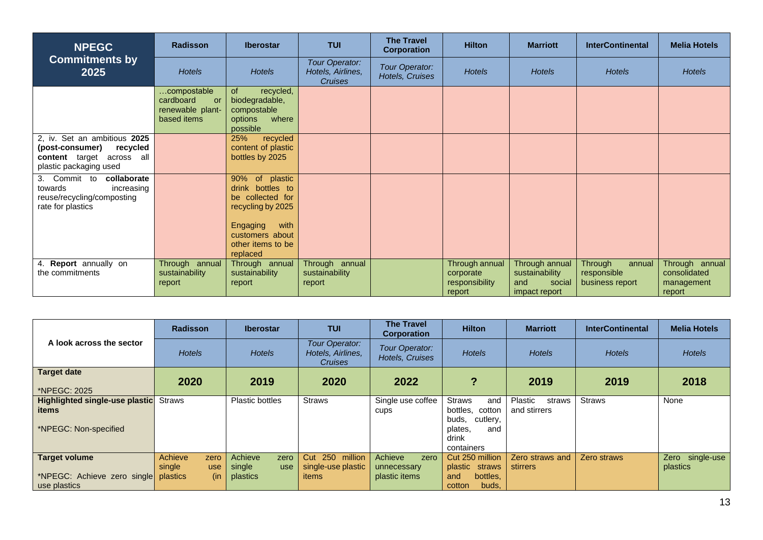| <b>NPEGC</b>                                                                                                       | <b>Radisson</b>                                                   | <b>Iberostar</b>                                                                                                                                    | <b>TUI</b>                                            | <b>The Travel</b><br>Corporation  | <b>Hilton</b>                                           | <b>Marriott</b>                                                    | <b>InterContinental</b>                             | <b>Melia Hotels</b>                                    |
|--------------------------------------------------------------------------------------------------------------------|-------------------------------------------------------------------|-----------------------------------------------------------------------------------------------------------------------------------------------------|-------------------------------------------------------|-----------------------------------|---------------------------------------------------------|--------------------------------------------------------------------|-----------------------------------------------------|--------------------------------------------------------|
| <b>Commitments by</b><br>2025                                                                                      | <b>Hotels</b>                                                     | <b>Hotels</b>                                                                                                                                       | Tour Operator:<br>Hotels, Airlines,<br><b>Cruises</b> | Tour Operator:<br>Hotels, Cruises | <b>Hotels</b>                                           | <b>Hotels</b>                                                      | <b>Hotels</b>                                       | <b>Hotels</b>                                          |
|                                                                                                                    | compostable<br>cardboard<br>or<br>renewable plant-<br>based items | <b>of</b><br>recycled,<br>biodegradable,<br>compostable<br>where<br>options<br>possible                                                             |                                                       |                                   |                                                         |                                                                    |                                                     |                                                        |
| 2, iv. Set an ambitious 2025<br>(post-consumer)<br>recycled<br>content target across all<br>plastic packaging used |                                                                   | 25%<br>recycled<br>content of plastic<br>bottles by 2025                                                                                            |                                                       |                                   |                                                         |                                                                    |                                                     |                                                        |
| collaborate<br>Commit to<br>3.<br>towards<br>increasing<br>reuse/recycling/composting<br>rate for plastics         |                                                                   | 90% of plastic<br>drink bottles to<br>be collected for<br>recycling by 2025<br>Engaging<br>with<br>customers about<br>other items to be<br>replaced |                                                       |                                   |                                                         |                                                                    |                                                     |                                                        |
| Report annually on<br>4.<br>the commitments                                                                        | Through annual<br>sustainability<br>report                        | Through annual<br>sustainability<br>report                                                                                                          | Through annual<br>sustainability<br>report            |                                   | Through annual<br>corporate<br>responsibility<br>report | Through annual<br>sustainability<br>social<br>and<br>impact report | Through<br>annual<br>responsible<br>business report | Through annual<br>consolidated<br>management<br>report |

|                                                                         | <b>Radisson</b>                                            | <b>Iberostar</b>                             | <b>TUI</b>                                            | <b>The Travel</b><br><b>Corporation</b>         | <b>Hilton</b>                                                                                         | <b>Marriott</b>                   | <b>InterContinental</b> | <b>Melia Hotels</b>            |
|-------------------------------------------------------------------------|------------------------------------------------------------|----------------------------------------------|-------------------------------------------------------|-------------------------------------------------|-------------------------------------------------------------------------------------------------------|-----------------------------------|-------------------------|--------------------------------|
| A look across the sector                                                | <b>Hotels</b>                                              | <b>Hotels</b>                                | Tour Operator:<br>Hotels, Airlines,<br><b>Cruises</b> | Tour Operator:<br>Hotels, Cruises               | <b>Hotels</b>                                                                                         | <b>Hotels</b>                     | <b>Hotels</b>           | <b>Hotels</b>                  |
| <b>Target date</b><br>*NPEGC: 2025                                      | 2020                                                       | 2019                                         | 2020                                                  | 2022                                            | ?                                                                                                     | 2019                              | 2019                    | 2018                           |
| <b>Highlighted single-use plastic</b><br>items<br>*NPEGC: Non-specified | Straws                                                     | <b>Plastic bottles</b>                       | <b>Straws</b>                                         | Single use coffee<br>cups                       | <b>Straws</b><br>and<br>bottles, cotton<br>buds.<br>cutlery,<br>plates.<br>and<br>drink<br>containers | Plastic<br>straws<br>and stirrers | <b>Straws</b>           | None                           |
| <b>Target volume</b><br>*NPEGC: Achieve zero single<br>use plastics     | Achieve<br>zero<br>single<br><b>use</b><br>plastics<br>(in | Achieve<br>zero<br>single<br>use<br>plastics | 250 million<br>Cut<br>single-use plastic<br>items     | Achieve<br>zero<br>unnecessary<br>plastic items | Cut 250 million<br>plastic straws<br>bottles.<br>and<br>cotton<br>buds,                               | Zero straws and<br>stirrers       | Zero straws             | single-use<br>Zero<br>plastics |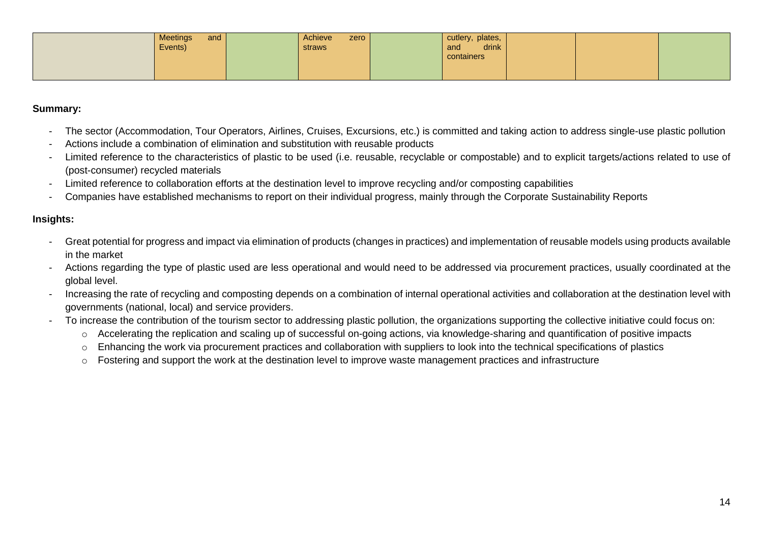|  | <b>Meetings</b><br>and<br>Events) | Achieve<br>zero<br>straws | cutlery, plates,<br>drink<br>and<br>containers |  |  |
|--|-----------------------------------|---------------------------|------------------------------------------------|--|--|
|  |                                   |                           |                                                |  |  |

#### **Summary:**

- The sector (Accommodation, Tour Operators, Airlines, Cruises, Excursions, etc.) is committed and taking action to address single-use plastic pollution
- Actions include a combination of elimination and substitution with reusable products
- Limited reference to the characteristics of plastic to be used (i.e. reusable, recyclable or compostable) and to explicit targets/actions related to use of (post-consumer) recycled materials
- Limited reference to collaboration efforts at the destination level to improve recycling and/or composting capabilities
- Companies have established mechanisms to report on their individual progress, mainly through the Corporate Sustainability Reports

#### **Insights:**

- Great potential for progress and impact via elimination of products (changes in practices) and implementation of reusable models using products available in the market
- Actions regarding the type of plastic used are less operational and would need to be addressed via procurement practices, usually coordinated at the global level.
- Increasing the rate of recycling and composting depends on a combination of internal operational activities and collaboration at the destination level with governments (national, local) and service providers.
- To increase the contribution of the tourism sector to addressing plastic pollution, the organizations supporting the collective initiative could focus on:
	- o Accelerating the replication and scaling up of successful on-going actions, via knowledge-sharing and quantification of positive impacts
	- o Enhancing the work via procurement practices and collaboration with suppliers to look into the technical specifications of plastics
	- o Fostering and support the work at the destination level to improve waste management practices and infrastructure